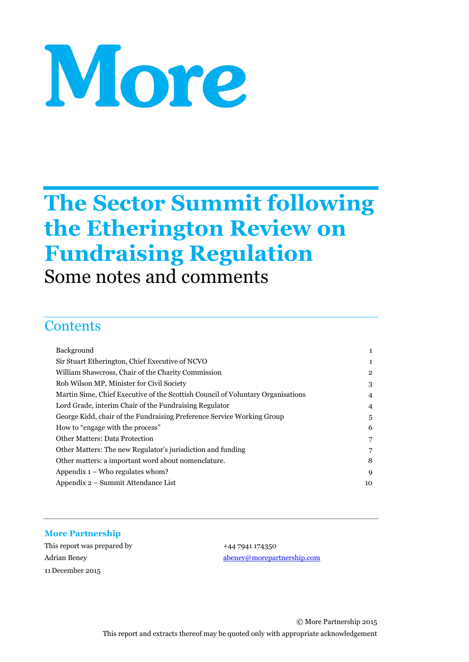# More

# **The Sector Summit following the Etherington Review on Fundraising Regulation**

Some notes and comments

# **Contents**

| $\mathbf{1}$   |
|----------------|
| $\mathbf{1}$   |
| $\overline{2}$ |
| 3              |
| 4              |
| $\overline{4}$ |
| 5              |
| 6              |
| 7              |
| 7              |
| 8              |
| 9              |
| 10             |
|                |

#### **More Partnership**

This report was prepared by  $+44\,7941\,174350$ 11 December 2015

Adrian Beney [abeney@morepartnership.com](mailto:abeney@morepartnership.com)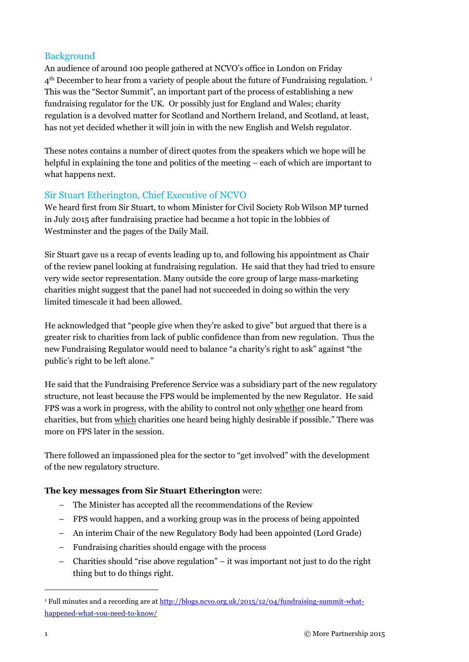#### **Background**

An audience of around 100 people gathered at NCVO's office in London on Friday 4<sup>th</sup> December to hear from a variety of people about the future of Fundraising regulation.<sup>1</sup> This was the "Sector Summit", an important part of the process of establishing a new fundraising regulator for the UK. Or possibly just for England and Wales; charity regulation is a devolved matter for Scotland and Northern Ireland, and Scotland, at least, has not yet decided whether it will join in with the new English and Welsh regulator.

These notes contains a number of direct quotes from the speakers which we hope will be helpful in explaining the tone and politics of the meeting – each of which are important to what happens next.

#### Sir Stuart Etherington, Chief Executive of NCVO

We heard first from Sir Stuart, to whom Minister for Civil Society Rob Wilson MP turned in July 2015 after fundraising practice had became a hot topic in the lobbies of Westminster and the pages of the Daily Mail.

Sir Stuart gave us a recap of events leading up to, and following his appointment as Chair of the review panel looking at fundraising regulation. He said that they had tried to ensure very wide sector representation. Many outside the core group of large mass-marketing charities might suggest that the panel had not succeeded in doing so within the very limited timescale it had been allowed.

He acknowledged that "people give when they're asked to give" but argued that there is a greater risk to charities from lack of public confidence than from new regulation. Thus the new Fundraising Regulator would need to balance "a charity's right to ask" against "the public's right to be left alone."

He said that the Fundraising Preference Service was a subsidiary part of the new regulatory structure, not least because the FPS would be implemented by the new Regulator. He said FPS was a work in progress, with the ability to control not only whether one heard from charities, but from which charities one heard being highly desirable if possible." There was more on FPS later in the session.

There followed an impassioned plea for the sector to "get involved" with the development of the new regulatory structure.

#### **The key messages from Sir Stuart Etherington** were:

- The Minister has accepted all the recommendations of the Review
- FPS would happen, and a working group was in the process of being appointed
- An interim Chair of the new Regulatory Body had been appointed (Lord Grade)
- Fundraising charities should engage with the process
- Charities should "rise above regulation" it was important not just to do the right thing but to do things right.

-

<sup>&</sup>lt;sup>1</sup> Full minutes and a recording are at [http://blogs.ncvo.org.uk/2015/12/04/fundraising-summit-what](http://blogs.ncvo.org.uk/2015/12/04/fundraising-summit-what-happened-what-you-need-to-know/)[happened-what-you-need-to-know/](http://blogs.ncvo.org.uk/2015/12/04/fundraising-summit-what-happened-what-you-need-to-know/)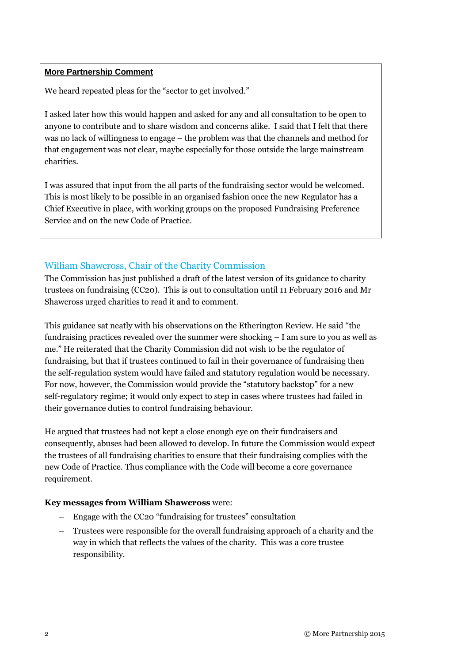#### **More Partnership Comment**

We heard repeated pleas for the "sector to get involved."

I asked later how this would happen and asked for any and all consultation to be open to anyone to contribute and to share wisdom and concerns alike. I said that I felt that there was no lack of willingness to engage – the problem was that the channels and method for that engagement was not clear, maybe especially for those outside the large mainstream charities.

I was assured that input from the all parts of the fundraising sector would be welcomed. This is most likely to be possible in an organised fashion once the new Regulator has a Chief Executive in place, with working groups on the proposed Fundraising Preference Service and on the new Code of Practice.

#### William Shawcross, Chair of the Charity Commission

The Commission has just published a draft of the latest version of its guidance to charity trustees on fundraising (CC20). This is out to consultation until 11 February 2016 and Mr Shawcross urged charities to read it and to comment.

This guidance sat neatly with his observations on the Etherington Review. He said "the fundraising practices revealed over the summer were shocking – I am sure to you as well as me." He reiterated that the Charity Commission did not wish to be the regulator of fundraising, but that if trustees continued to fail in their governance of fundraising then the self-regulation system would have failed and statutory regulation would be necessary. For now, however, the Commission would provide the "statutory backstop" for a new self-regulatory regime; it would only expect to step in cases where trustees had failed in their governance duties to control fundraising behaviour.

He argued that trustees had not kept a close enough eye on their fundraisers and consequently, abuses had been allowed to develop. In future the Commission would expect the trustees of all fundraising charities to ensure that their fundraising complies with the new Code of Practice. Thus compliance with the Code will become a core governance requirement.

#### **Key messages from William Shawcross** were:

- Engage with the CC20 "fundraising for trustees" consultation
- Trustees were responsible for the overall fundraising approach of a charity and the way in which that reflects the values of the charity. This was a core trustee responsibility.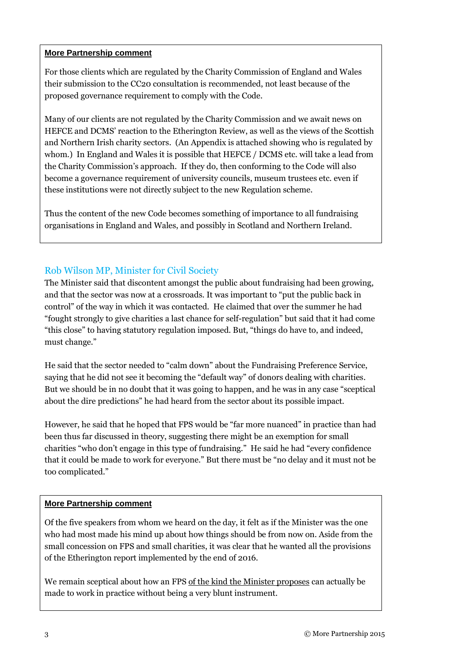#### **More Partnership comment**

For those clients which are regulated by the Charity Commission of England and Wales their submission to the CC20 consultation is recommended, not least because of the proposed governance requirement to comply with the Code.

Many of our clients are not regulated by the Charity Commission and we await news on HEFCE and DCMS' reaction to the Etherington Review, as well as the views of the Scottish and Northern Irish charity sectors. (An Appendix is attached showing who is regulated by whom.) In England and Wales it is possible that HEFCE / DCMS etc. will take a lead from the Charity Commission's approach. If they do, then conforming to the Code will also become a governance requirement of university councils, museum trustees etc. even if these institutions were not directly subject to the new Regulation scheme.

Thus the content of the new Code becomes something of importance to all fundraising organisations in England and Wales, and possibly in Scotland and Northern Ireland.

#### Rob Wilson MP, Minister for Civil Society

The Minister said that discontent amongst the public about fundraising had been growing, and that the sector was now at a crossroads. It was important to "put the public back in control" of the way in which it was contacted. He claimed that over the summer he had "fought strongly to give charities a last chance for self-regulation" but said that it had come "this close" to having statutory regulation imposed. But, "things do have to, and indeed, must change."

He said that the sector needed to "calm down" about the Fundraising Preference Service, saying that he did not see it becoming the "default way" of donors dealing with charities. But we should be in no doubt that it was going to happen, and he was in any case "sceptical about the dire predictions" he had heard from the sector about its possible impact.

However, he said that he hoped that FPS would be "far more nuanced" in practice than had been thus far discussed in theory, suggesting there might be an exemption for small charities "who don't engage in this type of fundraising." He said he had "every confidence that it could be made to work for everyone." But there must be "no delay and it must not be too complicated."

#### **More Partnership comment**

Of the five speakers from whom we heard on the day, it felt as if the Minister was the one who had most made his mind up about how things should be from now on. Aside from the small concession on FPS and small charities, it was clear that he wanted all the provisions of the Etherington report implemented by the end of 2016.

We remain sceptical about how an FPS of the kind the Minister proposes can actually be made to work in practice without being a very blunt instrument.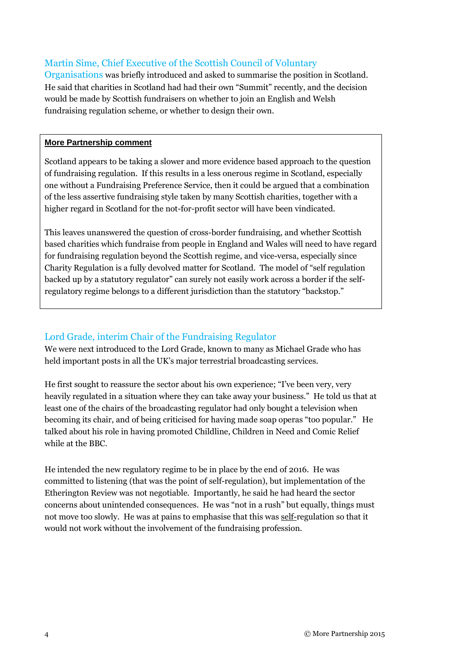#### Martin Sime, Chief Executive of the Scottish Council of Voluntary

Organisations was briefly introduced and asked to summarise the position in Scotland. He said that charities in Scotland had had their own "Summit" recently, and the decision would be made by Scottish fundraisers on whether to join an English and Welsh fundraising regulation scheme, or whether to design their own.

#### **More Partnership comment**

Scotland appears to be taking a slower and more evidence based approach to the question of fundraising regulation. If this results in a less onerous regime in Scotland, especially one without a Fundraising Preference Service, then it could be argued that a combination of the less assertive fundraising style taken by many Scottish charities, together with a higher regard in Scotland for the not-for-profit sector will have been vindicated.

This leaves unanswered the question of cross-border fundraising, and whether Scottish based charities which fundraise from people in England and Wales will need to have regard for fundraising regulation beyond the Scottish regime, and vice-versa, especially since Charity Regulation is a fully devolved matter for Scotland. The model of "self regulation backed up by a statutory regulator" can surely not easily work across a border if the selfregulatory regime belongs to a different jurisdiction than the statutory "backstop."

#### Lord Grade, interim Chair of the Fundraising Regulator

We were next introduced to the Lord Grade, known to many as Michael Grade who has held important posts in all the UK's major terrestrial broadcasting services.

He first sought to reassure the sector about his own experience; "I've been very, very heavily regulated in a situation where they can take away your business." He told us that at least one of the chairs of the broadcasting regulator had only bought a television when becoming its chair, and of being criticised for having made soap operas "too popular." He talked about his role in having promoted Childline, Children in Need and Comic Relief while at the BBC.

He intended the new regulatory regime to be in place by the end of 2016. He was committed to listening (that was the point of self-regulation), but implementation of the Etherington Review was not negotiable. Importantly, he said he had heard the sector concerns about unintended consequences. He was "not in a rush" but equally, things must not move too slowly. He was at pains to emphasise that this was self-regulation so that it would not work without the involvement of the fundraising profession.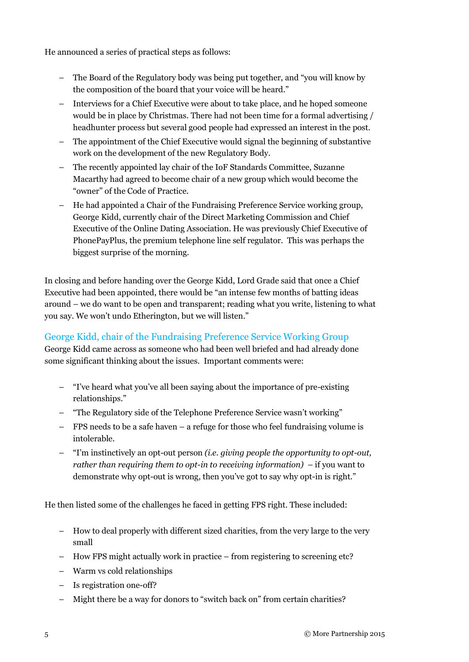He announced a series of practical steps as follows:

- The Board of the Regulatory body was being put together, and "you will know by the composition of the board that your voice will be heard."
- Interviews for a Chief Executive were about to take place, and he hoped someone would be in place by Christmas. There had not been time for a formal advertising / headhunter process but several good people had expressed an interest in the post.
- The appointment of the Chief Executive would signal the beginning of substantive work on the development of the new Regulatory Body.
- The recently appointed lay chair of the IoF Standards Committee, Suzanne Macarthy had agreed to become chair of a new group which would become the "owner" of the Code of Practice.
- He had appointed a Chair of the Fundraising Preference Service working group, George Kidd, currently chair of the Direct Marketing Commission and Chief Executive of the Online Dating Association. He was previously Chief Executive of PhonePayPlus, the premium telephone line self regulator. This was perhaps the biggest surprise of the morning.

In closing and before handing over the George Kidd, Lord Grade said that once a Chief Executive had been appointed, there would be "an intense few months of batting ideas around – we do want to be open and transparent; reading what you write, listening to what you say. We won't undo Etherington, but we will listen."

#### George Kidd, chair of the Fundraising Preference Service Working Group

George Kidd came across as someone who had been well briefed and had already done some significant thinking about the issues. Important comments were:

- "I've heard what you've all been saying about the importance of pre-existing relationships."
- "The Regulatory side of the Telephone Preference Service wasn't working"
- FPS needs to be a safe haven a refuge for those who feel fundraising volume is intolerable.
- "I'm instinctively an opt-out person *(i.e. giving people the opportunity to opt-out, rather than requiring them to opt-in to receiving information)* – if you want to demonstrate why opt-out is wrong, then you've got to say why opt-in is right."

He then listed some of the challenges he faced in getting FPS right. These included:

- How to deal properly with different sized charities, from the very large to the very small
- How FPS might actually work in practice from registering to screening etc?
- Warm vs cold relationships
- Is registration one-off?
- Might there be a way for donors to "switch back on" from certain charities?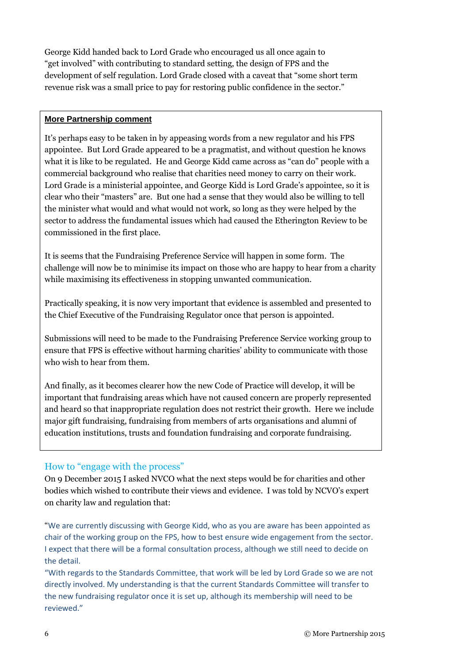George Kidd handed back to Lord Grade who encouraged us all once again to "get involved" with contributing to standard setting, the design of FPS and the development of self regulation. Lord Grade closed with a caveat that "some short term revenue risk was a small price to pay for restoring public confidence in the sector."

#### **More Partnership comment**

It's perhaps easy to be taken in by appeasing words from a new regulator and his FPS appointee. But Lord Grade appeared to be a pragmatist, and without question he knows what it is like to be regulated. He and George Kidd came across as "can do" people with a commercial background who realise that charities need money to carry on their work. Lord Grade is a ministerial appointee, and George Kidd is Lord Grade's appointee, so it is clear who their "masters" are. But one had a sense that they would also be willing to tell the minister what would and what would not work, so long as they were helped by the sector to address the fundamental issues which had caused the Etherington Review to be commissioned in the first place.

It is seems that the Fundraising Preference Service will happen in some form. The challenge will now be to minimise its impact on those who are happy to hear from a charity while maximising its effectiveness in stopping unwanted communication.

Practically speaking, it is now very important that evidence is assembled and presented to the Chief Executive of the Fundraising Regulator once that person is appointed.

Submissions will need to be made to the Fundraising Preference Service working group to ensure that FPS is effective without harming charities' ability to communicate with those who wish to hear from them.

And finally, as it becomes clearer how the new Code of Practice will develop, it will be important that fundraising areas which have not caused concern are properly represented and heard so that inappropriate regulation does not restrict their growth. Here we include major gift fundraising, fundraising from members of arts organisations and alumni of education institutions, trusts and foundation fundraising and corporate fundraising.

#### How to "engage with the process"

On 9 December 2015 I asked NVCO what the next steps would be for charities and other bodies which wished to contribute their views and evidence. I was told by NCVO's expert on charity law and regulation that:

"We are currently discussing with George Kidd, who as you are aware has been appointed as chair of the working group on the FPS, how to best ensure wide engagement from the sector. I expect that there will be a formal consultation process, although we still need to decide on the detail.

"With regards to the Standards Committee, that work will be led by Lord Grade so we are not directly involved. My understanding is that the current Standards Committee will transfer to the new fundraising regulator once it is set up, although its membership will need to be reviewed."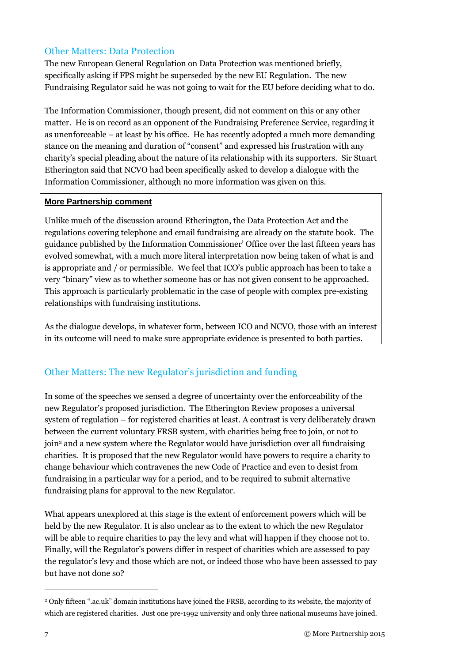#### Other Matters: Data Protection

The new European General Regulation on Data Protection was mentioned briefly, specifically asking if FPS might be superseded by the new EU Regulation. The new Fundraising Regulator said he was not going to wait for the EU before deciding what to do.

The Information Commissioner, though present, did not comment on this or any other matter. He is on record as an opponent of the Fundraising Preference Service, regarding it as unenforceable – at least by his office. He has recently adopted a much more demanding stance on the meaning and duration of "consent" and expressed his frustration with any charity's special pleading about the nature of its relationship with its supporters. Sir Stuart Etherington said that NCVO had been specifically asked to develop a dialogue with the Information Commissioner, although no more information was given on this.

#### **More Partnership comment**

Unlike much of the discussion around Etherington, the Data Protection Act and the regulations covering telephone and email fundraising are already on the statute book. The guidance published by the Information Commissioner' Office over the last fifteen years has evolved somewhat, with a much more literal interpretation now being taken of what is and is appropriate and / or permissible. We feel that ICO's public approach has been to take a very "binary" view as to whether someone has or has not given consent to be approached. This approach is particularly problematic in the case of people with complex pre-existing relationships with fundraising institutions.

As the dialogue develops, in whatever form, between ICO and NCVO, those with an interest in its outcome will need to make sure appropriate evidence is presented to both parties.

#### Other Matters: The new Regulator's jurisdiction and funding

In some of the speeches we sensed a degree of uncertainty over the enforceability of the new Regulator's proposed jurisdiction. The Etherington Review proposes a universal system of regulation – for registered charities at least. A contrast is very deliberately drawn between the current voluntary FRSB system, with charities being free to join, or not to join<sup>2</sup> and a new system where the Regulator would have jurisdiction over all fundraising charities. It is proposed that the new Regulator would have powers to require a charity to change behaviour which contravenes the new Code of Practice and even to desist from fundraising in a particular way for a period, and to be required to submit alternative fundraising plans for approval to the new Regulator.

What appears unexplored at this stage is the extent of enforcement powers which will be held by the new Regulator. It is also unclear as to the extent to which the new Regulator will be able to require charities to pay the levy and what will happen if they choose not to. Finally, will the Regulator's powers differ in respect of charities which are assessed to pay the regulator's levy and those which are not, or indeed those who have been assessed to pay but have not done so?

-

<sup>2</sup> Only fifteen ".ac.uk" domain institutions have joined the FRSB, according to its website, the majority of which are registered charities. Just one pre-1992 university and only three national museums have joined.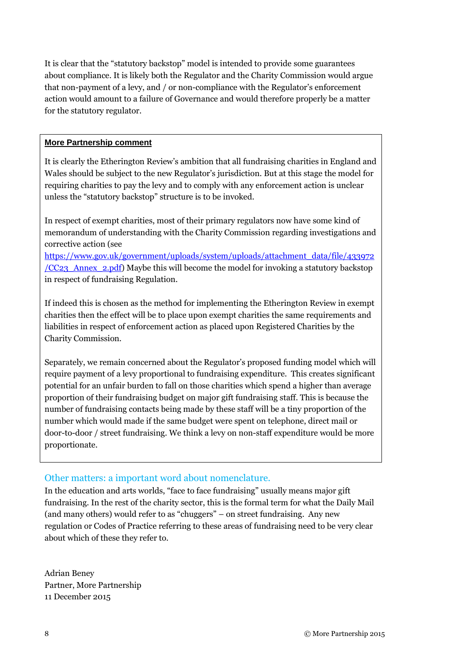It is clear that the "statutory backstop" model is intended to provide some guarantees about compliance. It is likely both the Regulator and the Charity Commission would argue that non-payment of a levy, and / or non-compliance with the Regulator's enforcement action would amount to a failure of Governance and would therefore properly be a matter for the statutory regulator.

#### **More Partnership comment**

It is clearly the Etherington Review's ambition that all fundraising charities in England and Wales should be subject to the new Regulator's jurisdiction. But at this stage the model for requiring charities to pay the levy and to comply with any enforcement action is unclear unless the "statutory backstop" structure is to be invoked.

In respect of exempt charities, most of their primary regulators now have some kind of memorandum of understanding with the Charity Commission regarding investigations and corrective action (see

[https://www.gov.uk/government/uploads/system/uploads/attachment\\_data/file/433972](https://www.gov.uk/government/uploads/system/uploads/attachment_data/file/433972/CC23_Annex_2.pdf) [/CC23\\_Annex\\_2.pdf\)](https://www.gov.uk/government/uploads/system/uploads/attachment_data/file/433972/CC23_Annex_2.pdf) Maybe this will become the model for invoking a statutory backstop in respect of fundraising Regulation.

If indeed this is chosen as the method for implementing the Etherington Review in exempt charities then the effect will be to place upon exempt charities the same requirements and liabilities in respect of enforcement action as placed upon Registered Charities by the Charity Commission.

Separately, we remain concerned about the Regulator's proposed funding model which will require payment of a levy proportional to fundraising expenditure. This creates significant potential for an unfair burden to fall on those charities which spend a higher than average proportion of their fundraising budget on major gift fundraising staff. This is because the number of fundraising contacts being made by these staff will be a tiny proportion of the number which would made if the same budget were spent on telephone, direct mail or door-to-door / street fundraising. We think a levy on non-staff expenditure would be more proportionate.

#### Other matters: a important word about nomenclature.

In the education and arts worlds, "face to face fundraising" usually means major gift fundraising. In the rest of the charity sector, this is the formal term for what the Daily Mail (and many others) would refer to as "chuggers" – on street fundraising. Any new regulation or Codes of Practice referring to these areas of fundraising need to be very clear about which of these they refer to.

Adrian Beney Partner, More Partnership 11 December 2015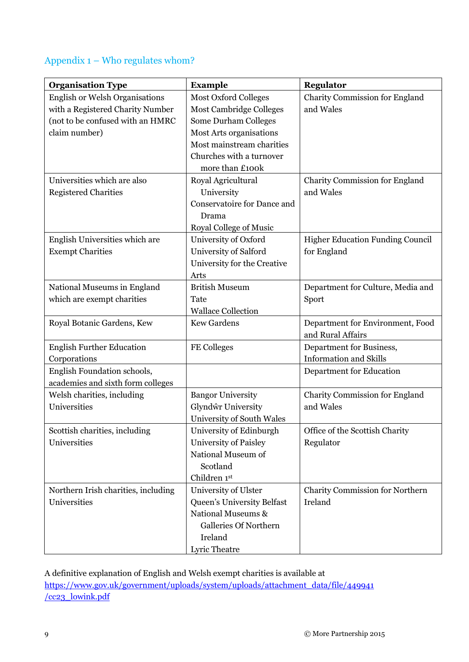### Appendix 1 – Who regulates whom?

| <b>Organisation Type</b>              | <b>Example</b>                 | <b>Regulator</b>                  |
|---------------------------------------|--------------------------------|-----------------------------------|
| <b>English or Welsh Organisations</b> | <b>Most Oxford Colleges</b>    | Charity Commission for England    |
| with a Registered Charity Number      | <b>Most Cambridge Colleges</b> | and Wales                         |
| (not to be confused with an HMRC      | Some Durham Colleges           |                                   |
| claim number)                         | Most Arts organisations        |                                   |
|                                       | Most mainstream charities      |                                   |
|                                       | Churches with a turnover       |                                   |
|                                       | more than £100k                |                                   |
| Universities which are also           | Royal Agricultural             | Charity Commission for England    |
| <b>Registered Charities</b>           | University                     | and Wales                         |
|                                       | Conservatoire for Dance and    |                                   |
|                                       | Drama                          |                                   |
|                                       | <b>Royal College of Music</b>  |                                   |
| English Universities which are        | University of Oxford           | Higher Education Funding Council  |
| <b>Exempt Charities</b>               | University of Salford          | for England                       |
|                                       | University for the Creative    |                                   |
|                                       | Arts                           |                                   |
| National Museums in England           | <b>British Museum</b>          | Department for Culture, Media and |
| which are exempt charities            | Tate                           | Sport                             |
|                                       | <b>Wallace Collection</b>      |                                   |
| Royal Botanic Gardens, Kew            | <b>Kew Gardens</b>             | Department for Environment, Food  |
|                                       |                                | and Rural Affairs                 |
| <b>English Further Education</b>      | FE Colleges                    | Department for Business,          |
| Corporations                          |                                | <b>Information and Skills</b>     |
| English Foundation schools,           |                                | Department for Education          |
| academies and sixth form colleges     |                                |                                   |
| Welsh charities, including            | <b>Bangor University</b>       | Charity Commission for England    |
| Universities                          | Glyndŵr University             | and Wales                         |
|                                       | University of South Wales      |                                   |
| Scottish charities, including         | University of Edinburgh        | Office of the Scottish Charity    |
| Universities                          | <b>University of Paisley</b>   | Regulator                         |
|                                       | National Museum of             |                                   |
|                                       | Scotland                       |                                   |
|                                       | Children 1st                   |                                   |
| Northern Irish charities, including   | University of Ulster           | Charity Commission for Northern   |
| Universities                          | Queen's University Belfast     | Ireland                           |
|                                       | National Museums &             |                                   |
|                                       | <b>Galleries Of Northern</b>   |                                   |
|                                       | Ireland                        |                                   |
|                                       | Lyric Theatre                  |                                   |

A definitive explanation of English and Welsh exempt charities is available at [https://www.gov.uk/government/uploads/system/uploads/attachment\\_data/file/449941](https://www.gov.uk/government/uploads/system/uploads/attachment_data/file/449941/cc23_lowink.pdf) [/cc23\\_lowink.pdf](https://www.gov.uk/government/uploads/system/uploads/attachment_data/file/449941/cc23_lowink.pdf)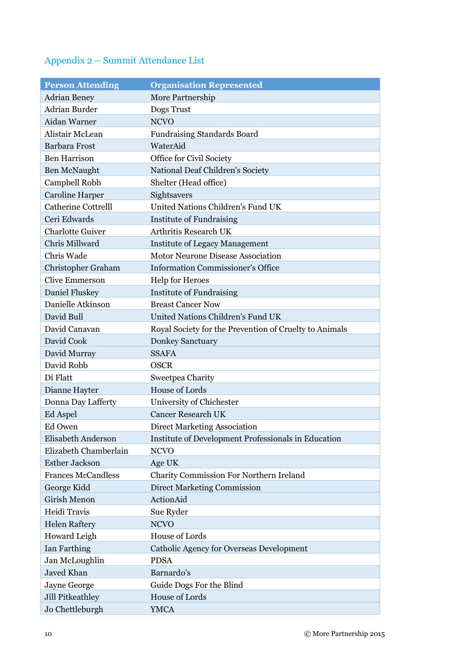# Appendix 2 – Summit Attendance List

| <b>Person Attending</b>    | <b>Organisation Represented</b>                        |
|----------------------------|--------------------------------------------------------|
| <b>Adrian Beney</b>        | More Partnership                                       |
| <b>Adrian Burder</b>       | Dogs Trust                                             |
| Aidan Warner               | <b>NCVO</b>                                            |
| Alistair McLean            | Fundraising Standards Board                            |
| <b>Barbara Frost</b>       | WaterAid                                               |
| <b>Ben Harrison</b>        | Office for Civil Society                               |
| <b>Ben McNaught</b>        | National Deaf Children's Society                       |
| Campbell Robb              | Shelter (Head office)                                  |
| <b>Caroline Harper</b>     | Sightsavers                                            |
| <b>Catherine Cottrelll</b> | United Nations Children's Fund UK                      |
| Ceri Edwards               | <b>Institute of Fundraising</b>                        |
| <b>Charlotte Guiver</b>    | Arthritis Research UK                                  |
| Chris Millward             | <b>Institute of Legacy Management</b>                  |
| Chris Wade                 | Motor Neurone Disease Association                      |
| Christopher Graham         | <b>Information Commissioner's Office</b>               |
| <b>Clive Emmerson</b>      | <b>Help for Heroes</b>                                 |
| <b>Daniel Fluskey</b>      | <b>Institute of Fundraising</b>                        |
| Danielle Atkinson          | <b>Breast Cancer Now</b>                               |
| David Bull                 | United Nations Children's Fund UK                      |
| David Canavan              | Royal Society for the Prevention of Cruelty to Animals |
| David Cook                 | <b>Donkey Sanctuary</b>                                |
| David Murray               | <b>SSAFA</b>                                           |
| David Robb                 | <b>OSCR</b>                                            |
| Di Flatt                   | Sweetpea Charity                                       |
| Dianne Hayter              | <b>House of Lords</b>                                  |
| Donna Day Lafferty         | University of Chichester                               |
| Ed Aspel                   | <b>Cancer Research UK</b>                              |
| Ed Owen                    | <b>Direct Marketing Association</b>                    |
| Elisabeth Anderson         | Institute of Development Professionals in Education    |
| Elizabeth Chamberlain      | <b>NCVO</b>                                            |
| <b>Esther Jackson</b>      | Age UK                                                 |
| <b>Frances McCandless</b>  | <b>Charity Commission For Northern Ireland</b>         |
| George Kidd                | <b>Direct Marketing Commission</b>                     |
| Girish Menon               | ActionAid                                              |
| Heidi Travis               | Sue Ryder                                              |
| <b>Helen Raftery</b>       | <b>NCVO</b>                                            |
| Howard Leigh               | House of Lords                                         |
| Ian Farthing               | Catholic Agency for Overseas Development               |
| Jan McLoughlin             | <b>PDSA</b>                                            |
| Javed Khan                 | Barnardo's                                             |
| Jayne George               | Guide Dogs For the Blind                               |
| Jill Pitkeathley           | House of Lords                                         |
| Jo Chettleburgh            | <b>YMCA</b>                                            |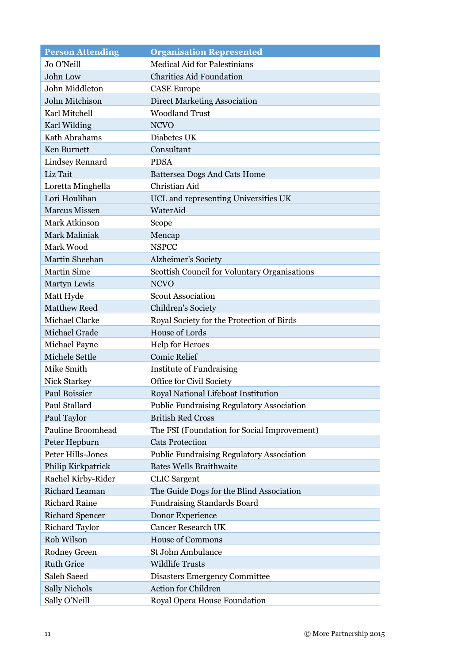| <b>Person Attending</b>  | <b>Organisation Represented</b>                  |
|--------------------------|--------------------------------------------------|
| Jo O'Neill               | <b>Medical Aid for Palestinians</b>              |
| John Low                 | <b>Charities Aid Foundation</b>                  |
| John Middleton           | <b>CASE Europe</b>                               |
| John Mitchison           | <b>Direct Marketing Association</b>              |
| Karl Mitchell            | <b>Woodland Trust</b>                            |
| Karl Wilding             | <b>NCVO</b>                                      |
| Kath Abrahams            | Diabetes UK                                      |
| Ken Burnett              | Consultant                                       |
| <b>Lindsey Rennard</b>   | <b>PDSA</b>                                      |
| Liz Tait                 | <b>Battersea Dogs And Cats Home</b>              |
| Loretta Minghella        | Christian Aid                                    |
| Lori Houlihan            | UCL and representing Universities UK             |
| <b>Marcus Missen</b>     | WaterAid                                         |
| Mark Atkinson            | Scope                                            |
| Mark Maliniak            | Mencap                                           |
| Mark Wood                | <b>NSPCC</b>                                     |
| Martin Sheehan           | Alzheimer's Society                              |
| <b>Martin Sime</b>       | Scottish Council for Voluntary Organisations     |
| Martyn Lewis             | <b>NCVO</b>                                      |
| Matt Hyde                | <b>Scout Association</b>                         |
| <b>Matthew Reed</b>      | <b>Children's Society</b>                        |
| Michael Clarke           | Royal Society for the Protection of Birds        |
| Michael Grade            | <b>House of Lords</b>                            |
| Michael Payne            | <b>Help for Heroes</b>                           |
| Michele Settle           | <b>Comic Relief</b>                              |
| Mike Smith               | <b>Institute of Fundraising</b>                  |
| Nick Starkey             | Office for Civil Society                         |
| Paul Boissier            | Royal National Lifeboat Institution              |
| Paul Stallard            | <b>Public Fundraising Regulatory Association</b> |
| Paul Taylor              | <b>British Red Cross</b>                         |
| <b>Pauline Broomhead</b> | The FSI (Foundation for Social Improvement)      |
| Peter Hepburn            | <b>Cats Protection</b>                           |
| Peter Hills-Jones        | <b>Public Fundraising Regulatory Association</b> |
| Philip Kirkpatrick       | <b>Bates Wells Braithwaite</b>                   |
| Rachel Kirby-Rider       | <b>CLIC</b> Sargent                              |
| Richard Leaman           | The Guide Dogs for the Blind Association         |
| <b>Richard Raine</b>     | Fundraising Standards Board                      |
| <b>Richard Spencer</b>   | Donor Experience                                 |
| <b>Richard Taylor</b>    | <b>Cancer Research UK</b>                        |
| Rob Wilson               | <b>House of Commons</b>                          |
| Rodney Green             | St John Ambulance                                |
| <b>Ruth Grice</b>        | <b>Wildlife Trusts</b>                           |
| Saleh Saeed              | <b>Disasters Emergency Committee</b>             |
| <b>Sally Nichols</b>     | <b>Action for Children</b>                       |
| Sally O'Neill            | Royal Opera House Foundation                     |